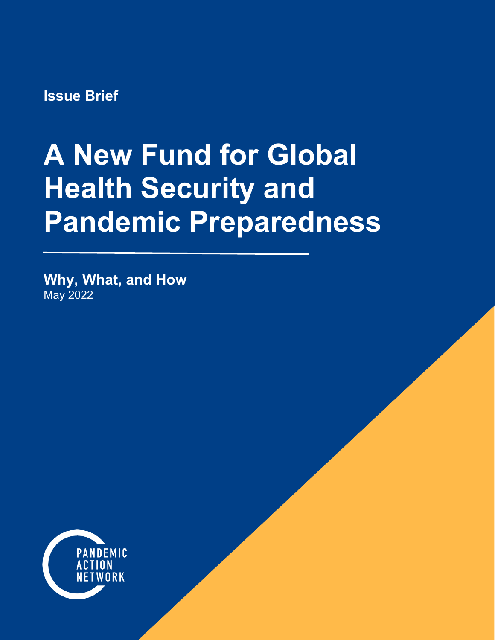**Issue Brief**

# **A New Fund for Global Health Security and Pandemic Preparedness**

**Why, What, and How** May 2022

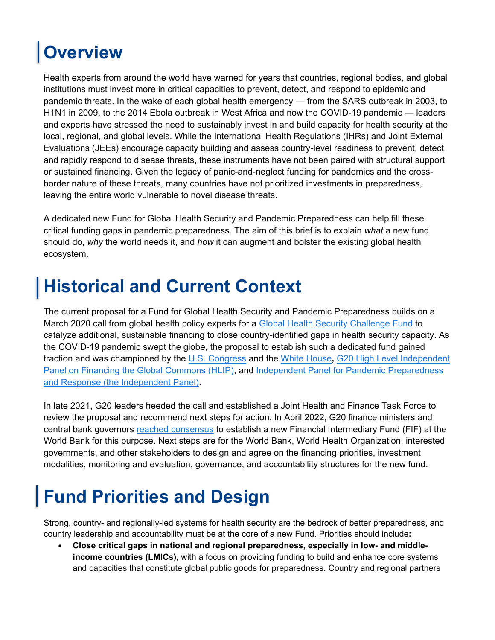# **Overview**

Health experts from around the world have warned for years that countries, regional bodies, and global institutions must invest more in critical capacities to prevent, detect, and respond to epidemic and pandemic threats. In the wake of each global health emergency — from the SARS outbreak in 2003, to H1N1 in 2009, to the 2014 Ebola outbreak in West Africa and now the COVID-19 pandemic — leaders and experts have stressed the need to sustainably invest in and build capacity for health security at the local, regional, and global levels. While the International Health Regulations (IHRs) and Joint External Evaluations (JEEs) encourage capacity building and assess country-level readiness to prevent, detect, and rapidly respond to disease threats, these instruments have not been paired with structural support or sustained financing. Given the legacy of panic-and-neglect funding for pandemics and the crossborder nature of these threats, many countries have not prioritized investments in preparedness, leaving the entire world vulnerable to novel disease threats.

A dedicated new Fund for Global Health Security and Pandemic Preparedness can help fill these critical funding gaps in pandemic preparedness. The aim of this brief is to explain *what* a new fund should do, *why* the world needs it, and *how* it can augment and bolster the existing global health ecosystem.

### **Historical and Current Context**

The current proposal for a Fund for Global Health Security and Pandemic Preparedness builds on a March 2020 call from global health policy experts for a [Global Health Security Challenge Fund](https://media.nti.org/documents/GHS_Challenge_Fund_Concept_Note_FINAL.PDF) to catalyze additional, sustainable financing to close country-identified gaps in health security capacity. As the COVID-19 pandemic swept the globe, the proposal to establish such a dedicated fund gained traction and was championed by the [U.S. Congress](https://www.congress.gov/bill/117th-congress/house-bill/391#:%7E:text=Passed%20House%20(06%2F28%2F2021)&text=This%20bill%20directs%20the%20United,the%20Global%20Health%20Security%20Agenda.) and the [White House](https://www.whitehouse.gov/briefing-room/statements-releases/2021/09/22/fact-sheet-president-bidens-global-covid-19-summit-ending-the-pandemic-and-building-back-better/)**,** [G20 High Level Independent](https://pandemic-financing.org/report/foreword/)  [Panel on Financing the Global Commons \(HLIP\),](https://pandemic-financing.org/report/foreword/) and [Independent Panel for Pandemic Preparedness](https://theindependentpanel.org/mainreport/)  [and Response \(the Independent Panel\).](https://theindependentpanel.org/mainreport/)

In late 2021, G20 leaders heeded the call and established a Joint Health and Finance Task Force to review the proposal and recommend next steps for action. In April 2022, G20 finance ministers and central bank governors [reached consensus](https://www.bi.go.id/en/publikasi/ruang-media/news-release/Pages/sp_2411022.aspx) to establish a new Financial Intermediary Fund (FIF) at the World Bank for this purpose. Next steps are for the World Bank, World Health Organization, interested governments, and other stakeholders to design and agree on the financing priorities, investment modalities, monitoring and evaluation, governance, and accountability structures for the new fund.

## **Fund Priorities and Design**

Strong, country- and regionally-led systems for health security are the bedrock of better preparedness, and country leadership and accountability must be at the core of a new Fund. Priorities should include**:**

• **Close critical gaps in national and regional preparedness, especially in low- and middleincome countries (LMICs),** with a focus on providing funding to build and enhance core systems and capacities that constitute global public goods for preparedness. Country and regional partners